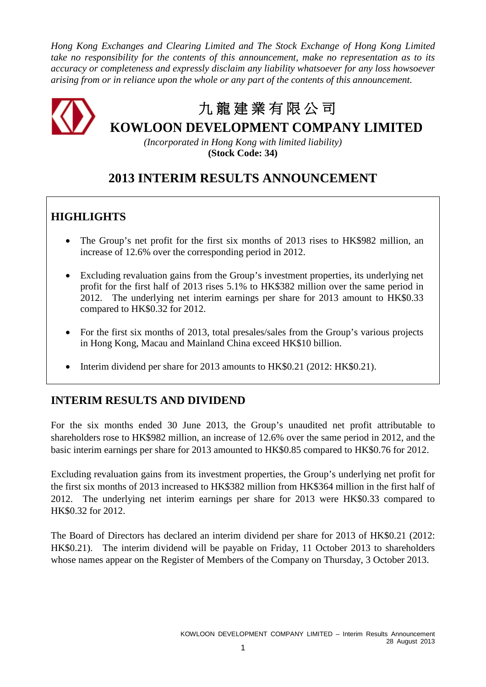*Hong Kong Exchanges and Clearing Limited and The Stock Exchange of Hong Kong Limited take no responsibility for the contents of this announcement, make no representation as to its accuracy or completeness and expressly disclaim any liability whatsoever for any loss howsoever arising from or in reliance upon the whole or any part of the contents of this announcement.*



*(Incorporated in Hong Kong with limited liability)* **(Stock Code: 34)**

# **2013 INTERIM RESULTS ANNOUNCEMENT**

# **HIGHLIGHTS**

- The Group's net profit for the first six months of 2013 rises to HK\$982 million, an increase of 12.6% over the corresponding period in 2012.
- Excluding revaluation gains from the Group's investment properties, its underlying net profit for the first half of 2013 rises 5.1% to HK\$382 million over the same period in 2012. The underlying net interim earnings per share for 2013 amount to HK\$0.33 compared to HK\$0.32 for 2012.
- For the first six months of 2013, total presales/sales from the Group's various projects in Hong Kong, Macau and Mainland China exceed HK\$10 billion.
- Interim dividend per share for 2013 amounts to HK\$0.21 (2012: HK\$0.21).

# **INTERIM RESULTS AND DIVIDEND**

For the six months ended 30 June 2013, the Group's unaudited net profit attributable to shareholders rose to HK\$982 million, an increase of 12.6% over the same period in 2012, and the basic interim earnings per share for 2013 amounted to HK\$0.85 compared to HK\$0.76 for 2012.

Excluding revaluation gains from its investment properties, the Group's underlying net profit for the first six months of 2013 increased to HK\$382 million from HK\$364 million in the first half of 2012. The underlying net interim earnings per share for 2013 were HK\$0.33 compared to HK\$0.32 for 2012.

The Board of Directors has declared an interim dividend per share for 2013 of HK\$0.21 (2012: HK\$0.21). The interim dividend will be payable on Friday, 11 October 2013 to shareholders whose names appear on the Register of Members of the Company on Thursday, 3 October 2013.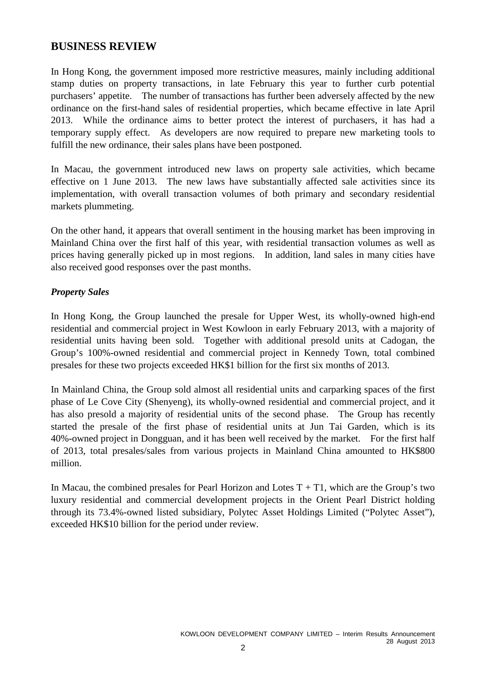## **BUSINESS REVIEW**

In Hong Kong, the government imposed more restrictive measures, mainly including additional stamp duties on property transactions, in late February this year to further curb potential purchasers' appetite. The number of transactions has further been adversely affected by the new ordinance on the first-hand sales of residential properties, which became effective in late April 2013. While the ordinance aims to better protect the interest of purchasers, it has had a temporary supply effect. As developers are now required to prepare new marketing tools to fulfill the new ordinance, their sales plans have been postponed.

In Macau, the government introduced new laws on property sale activities, which became effective on 1 June 2013. The new laws have substantially affected sale activities since its implementation, with overall transaction volumes of both primary and secondary residential markets plummeting.

On the other hand, it appears that overall sentiment in the housing market has been improving in Mainland China over the first half of this year, with residential transaction volumes as well as prices having generally picked up in most regions. In addition, land sales in many cities have also received good responses over the past months.

## *Property Sales*

In Hong Kong, the Group launched the presale for Upper West, its wholly-owned high-end residential and commercial project in West Kowloon in early February 2013, with a majority of residential units having been sold. Together with additional presold units at Cadogan, the Group's 100%-owned residential and commercial project in Kennedy Town, total combined presales for these two projects exceeded HK\$1 billion for the first six months of 2013.

In Mainland China, the Group sold almost all residential units and carparking spaces of the first phase of Le Cove City (Shenyeng), its wholly-owned residential and commercial project, and it has also presold a majority of residential units of the second phase. The Group has recently started the presale of the first phase of residential units at Jun Tai Garden, which is its 40%-owned project in Dongguan, and it has been well received by the market. For the first half of 2013, total presales/sales from various projects in Mainland China amounted to HK\$800 million.

In Macau, the combined presales for Pearl Horizon and Lotes  $T + T1$ , which are the Group's two luxury residential and commercial development projects in the Orient Pearl District holding through its 73.4%-owned listed subsidiary, Polytec Asset Holdings Limited ("Polytec Asset"), exceeded HK\$10 billion for the period under review.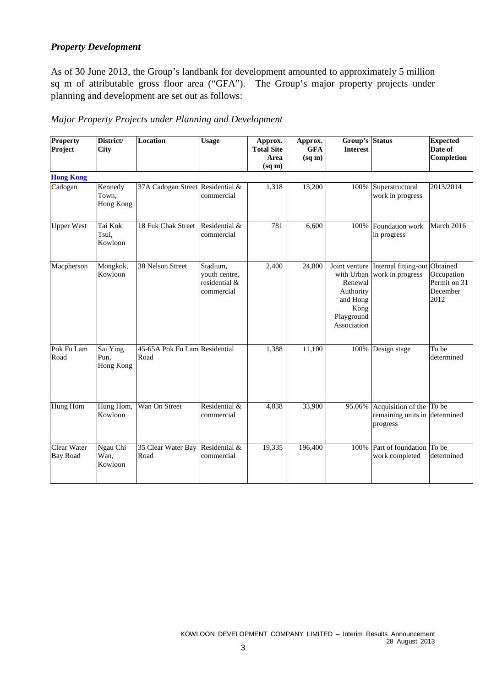## *Property Development*

As of 30 June 2013, the Group's landbank for development amounted to approximately 5 million sq m of attributable gross floor area ("GFA"). The Group's major property projects under planning and development are set out as follows:

| Major Property Projects under Planning and Development |  |
|--------------------------------------------------------|--|
|--------------------------------------------------------|--|

| Property<br>Project            | District/<br><b>City</b>             | <b>Location</b>                       | <b>Usage</b>                                             | Approx.<br><b>Total Site</b><br>Area<br>$(sq \, \text{m})$ | Approx.<br><b>GFA</b><br>$(sq \, \text{m})$ | Group's Status<br><b>Interest</b>                                                                    |                                                                       | <b>Expected</b><br>Date of<br><b>Completion</b> |
|--------------------------------|--------------------------------------|---------------------------------------|----------------------------------------------------------|------------------------------------------------------------|---------------------------------------------|------------------------------------------------------------------------------------------------------|-----------------------------------------------------------------------|-------------------------------------------------|
| <b>Hong Kong</b>               |                                      |                                       |                                                          |                                                            |                                             |                                                                                                      |                                                                       |                                                 |
| Cadogan                        | Kennedy<br>Town,<br><b>Hong Kong</b> | 37A Cadogan Street Residential &      | commercial                                               | 1,318                                                      | 13,200                                      | 100%                                                                                                 | Superstructural<br>work in progress                                   | 2013/2014                                       |
| <b>Upper West</b>              | Tai Kok<br>Tsui.<br>Kowloon          | 18 Fuk Chak Street                    | Residential &<br>commercial                              | 781                                                        | 6,600                                       | 100%                                                                                                 | Foundation work<br>in progress                                        | March 2016                                      |
| Macpherson                     | Mongkok,<br>Kowloon                  | 38 Nelson Street                      | Stadium,<br>youth centre,<br>residential &<br>commercial | 2,400                                                      | 24,800                                      | Joint venture<br>with Urban<br>Renewal<br>Authority<br>and Hong<br>Kong<br>Playground<br>Association | Internal fitting-out Obtained<br>work in progress                     | Occupation<br>Permit on 31<br>December<br>2012  |
| Pok Fu Lam<br>Road             | Sai Ying<br>Pun.<br><b>Hong Kong</b> | 45-65A Pok Fu Lam Residential<br>Road |                                                          | 1,388                                                      | 11,100                                      | 100%                                                                                                 | Design stage                                                          | To be<br>determined                             |
| <b>Hung Hom</b>                | Hung Hom,<br>Kowloon                 | Wan On Street                         | Residential &<br>commercial                              | 4,038                                                      | 33,900                                      | 95.06%                                                                                               | Acquisition of the To be<br>remaining units in determined<br>progress |                                                 |
| Clear Water<br><b>Bay Road</b> | Ngau Chi<br>Wan,<br>Kowloon          | 35 Clear Water Bay<br>Road            | Residential &<br>commercial                              | 19,335                                                     | 196,400                                     | 100%                                                                                                 | Part of foundation To be<br>work completed                            | determined                                      |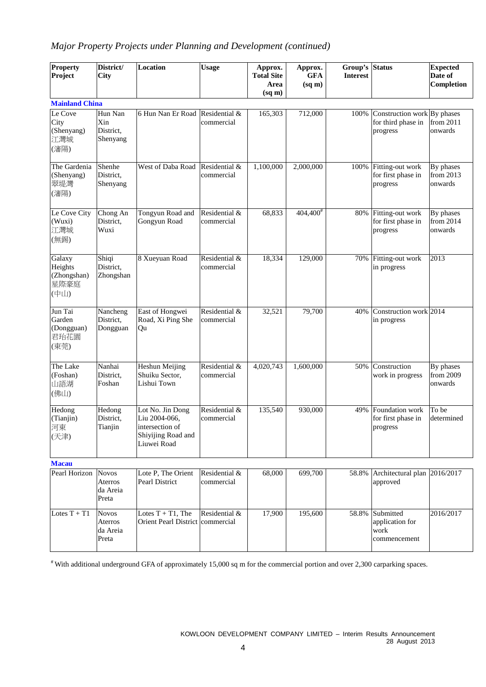# *Major Property Projects under Planning and Development (continued)*

| Property<br>Project                              | District/<br><b>City</b>                     | <b>Location</b>                                                                           | <b>Usage</b>                | Approx.<br><b>Total Site</b><br>Area<br>$(sq \, \text{m})$ | Approx.<br><b>GFA</b><br>$(sq \, \text{m})$ | Group's<br><b>Interest</b> | <b>Status</b>                                                 | <b>Expected</b><br>Date of<br>Completion |
|--------------------------------------------------|----------------------------------------------|-------------------------------------------------------------------------------------------|-----------------------------|------------------------------------------------------------|---------------------------------------------|----------------------------|---------------------------------------------------------------|------------------------------------------|
| <b>Mainland China</b>                            |                                              |                                                                                           |                             |                                                            |                                             |                            |                                                               |                                          |
| Le Cove<br>City<br>(Shenyang)<br>江灣城<br>(瀋陽)     | Hun Nan<br>Xin<br>District,<br>Shenyang      | 6 Hun Nan Er Road                                                                         | Residential &<br>commercial | 165,303                                                    | 712,000                                     | 100%                       | Construction work By phases<br>for third phase in<br>progress | from 2011<br>onwards                     |
| The Gardenia<br>(Shenyang)<br>翠堤灣<br>(瀋陽)        | Shenhe<br>District.<br>Shenyang              | West of Daba Road                                                                         | Residential &<br>commercial | 1,100,000                                                  | 2,000,000                                   | 100%                       | Fitting-out work<br>for first phase in<br>progress            | By phases<br>from 2013<br>onwards        |
| Le Cove City<br>(Wuxi)<br>江灣城<br>(無錫)            | Chong An<br>District,<br>Wuxi                | Tongyun Road and<br>Gongyun Road                                                          | Residential &<br>commercial | 68,833                                                     | $404,400^{\text{*}}$                        | 80%                        | Fitting-out work<br>for first phase in<br>progress            | By phases<br>from 2014<br>onwards        |
| Galaxy<br>Heights<br>(Zhongshan)<br>星際豪庭<br>(中山) | Shiqi<br>District,<br>Zhongshan              | 8 Xueyuan Road                                                                            | Residential &<br>commercial | 18,334                                                     | 129,000                                     | 70%                        | Fitting-out work<br>in progress                               | 2013                                     |
| Jun Tai<br>Garden<br>(Dongguan)<br>君珆花園<br>(東莞)  | Nancheng<br>District,<br>Dongguan            | East of Hongwei<br>Road, Xi Ping She<br>Qu                                                | Residential &<br>commercial | 32,521                                                     | 79,700                                      | 40%                        | Construction work 2014<br>in progress                         |                                          |
| The Lake<br>(Foshan)<br>山語湖<br>(佛山)              | Nanhai<br>District.<br>Foshan                | Heshun Meijing<br>Shuiku Sector,<br>Lishui Town                                           | Residential &<br>commercial | 4,020,743                                                  | 1,600,000                                   | 50%                        | Construction<br>work in progress                              | By phases<br>from 2009<br>onwards        |
| Hedong<br>(Tianjin)<br>河東<br>(天津)                | Hedong<br>District,<br>Tianjin               | Lot No. Jin Dong<br>Liu 2004-066,<br>intersection of<br>Shiyijing Road and<br>Liuwei Road | Residential &<br>commercial | 135,540                                                    | 930,000                                     | 49%                        | Foundation work<br>for first phase in<br>progress             | To be<br>determined                      |
| <b>Macau</b>                                     |                                              |                                                                                           |                             |                                                            |                                             |                            |                                                               |                                          |
| Pearl Horizon                                    | <b>Novos</b><br>Aterros<br>da Areia<br>Preta | Lote P, The Orient<br>Pearl District                                                      | Residential &<br>commercial | 68,000                                                     | 699,700                                     | 58.8%                      | Architectural plan 2016/2017<br>approved                      |                                          |
| Lotes $T + T1$                                   | <b>Novos</b><br>Aterros<br>da Areia<br>Preta | Lotes $T + T1$ , The<br>Orient Pearl District commercial                                  | Residential &               | 17,900                                                     | 195,600                                     | 58.8%                      | Submitted<br>application for<br>work<br>commencement          | 2016/2017                                |

# With additional underground GFA of approximately 15,000 sq m for the commercial portion and over 2,300 carparking spaces.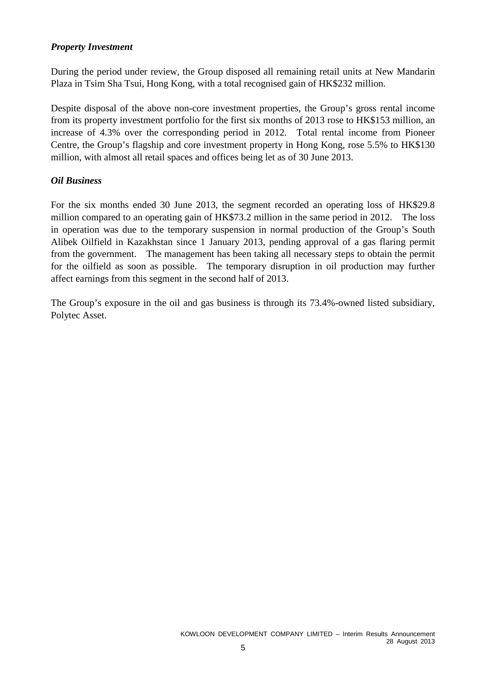## *Property Investment*

During the period under review, the Group disposed all remaining retail units at New Mandarin Plaza in Tsim Sha Tsui, Hong Kong, with a total recognised gain of HK\$232 million.

Despite disposal of the above non-core investment properties, the Group's gross rental income from its property investment portfolio for the first six months of 2013 rose to HK\$153 million, an increase of 4.3% over the corresponding period in 2012. Total rental income from Pioneer Centre, the Group's flagship and core investment property in Hong Kong, rose 5.5% to HK\$130 million, with almost all retail spaces and offices being let as of 30 June 2013.

## *Oil Business*

For the six months ended 30 June 2013, the segment recorded an operating loss of HK\$29.8 million compared to an operating gain of HK\$73.2 million in the same period in 2012. The loss in operation was due to the temporary suspension in normal production of the Group's South Alibek Oilfield in Kazakhstan since 1 January 2013, pending approval of a gas flaring permit from the government. The management has been taking all necessary steps to obtain the permit for the oilfield as soon as possible. The temporary disruption in oil production may further affect earnings from this segment in the second half of 2013.

The Group's exposure in the oil and gas business is through its 73.4%-owned listed subsidiary, Polytec Asset.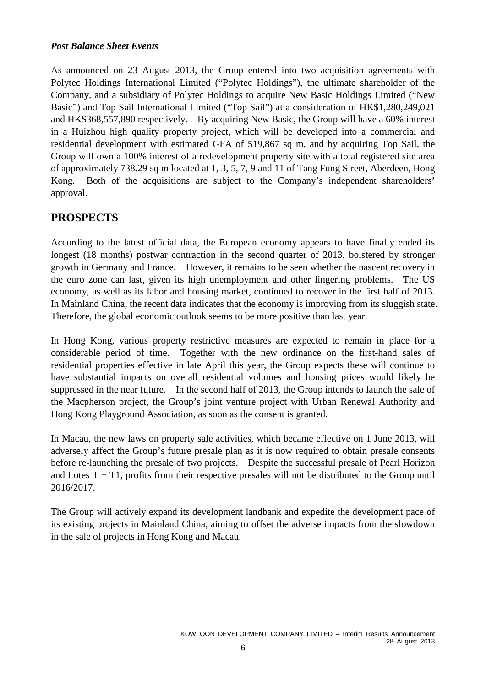## *Post Balance Sheet Events*

As announced on 23 August 2013, the Group entered into two acquisition agreements with Polytec Holdings International Limited ("Polytec Holdings"), the ultimate shareholder of the Company, and a subsidiary of Polytec Holdings to acquire New Basic Holdings Limited ("New Basic") and Top Sail International Limited ("Top Sail") at a consideration of HK\$1,280,249,021 and HK\$368,557,890 respectively. By acquiring New Basic, the Group will have a 60% interest in a Huizhou high quality property project, which will be developed into a commercial and residential development with estimated GFA of 519,867 sq m, and by acquiring Top Sail, the Group will own a 100% interest of a redevelopment property site with a total registered site area of approximately 738.29 sq m located at 1, 3, 5, 7, 9 and 11 of Tang Fung Street, Aberdeen, Hong Kong. Both of the acquisitions are subject to the Company's independent shareholders' approval.

## **PROSPECTS**

According to the latest official data, the European economy appears to have finally ended its longest (18 months) postwar contraction in the second quarter of 2013, bolstered by stronger growth in Germany and France. However, it remains to be seen whether the nascent recovery in the euro zone can last, given its high unemployment and other lingering problems. The US economy, as well as its labor and housing market, continued to recover in the first half of 2013. In Mainland China, the recent data indicates that the economy is improving from its sluggish state. Therefore, the global economic outlook seems to be more positive than last year.

In Hong Kong, various property restrictive measures are expected to remain in place for a considerable period of time. Together with the new ordinance on the first-hand sales of residential properties effective in late April this year, the Group expects these will continue to have substantial impacts on overall residential volumes and housing prices would likely be suppressed in the near future. In the second half of 2013, the Group intends to launch the sale of the Macpherson project, the Group's joint venture project with Urban Renewal Authority and Hong Kong Playground Association, as soon as the consent is granted.

In Macau, the new laws on property sale activities, which became effective on 1 June 2013, will adversely affect the Group's future presale plan as it is now required to obtain presale consents before re-launching the presale of two projects. Despite the successful presale of Pearl Horizon and Lotes  $T + T1$ , profits from their respective presales will not be distributed to the Group until 2016/2017.

The Group will actively expand its development landbank and expedite the development pace of its existing projects in Mainland China, aiming to offset the adverse impacts from the slowdown in the sale of projects in Hong Kong and Macau.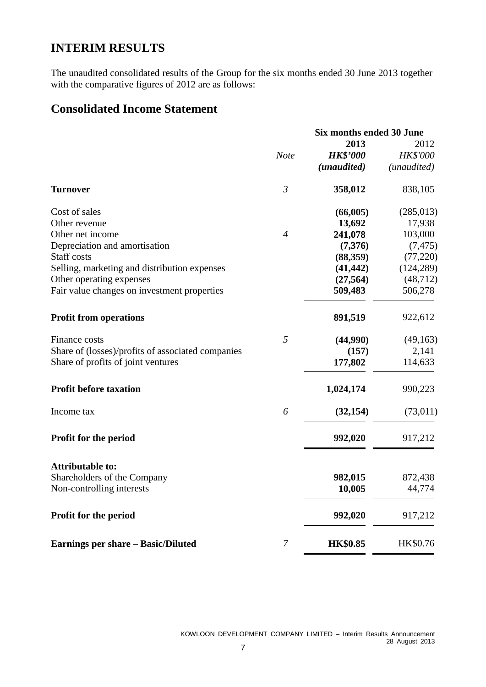# **INTERIM RESULTS**

The unaudited consolidated results of the Group for the six months ended 30 June 2013 together with the comparative figures of 2012 are as follows:

# **Consolidated Income Statement**

|                                                   | Six months ended 30 June |                 |             |  |
|---------------------------------------------------|--------------------------|-----------------|-------------|--|
|                                                   |                          | 2013            | 2012        |  |
|                                                   | <b>Note</b>              | <b>HK\$'000</b> | HK\$'000    |  |
|                                                   |                          | (unaudited)     | (unaudited) |  |
| <b>Turnover</b>                                   | $\mathfrak{Z}$           | 358,012         | 838,105     |  |
| Cost of sales                                     |                          | (66,005)        | (285, 013)  |  |
| Other revenue                                     |                          | 13,692          | 17,938      |  |
| Other net income                                  | $\overline{4}$           | 241,078         | 103,000     |  |
| Depreciation and amortisation                     |                          | (7,376)         | (7, 475)    |  |
| Staff costs                                       |                          | (88,359)        | (77,220)    |  |
| Selling, marketing and distribution expenses      |                          | (41, 442)       | (124, 289)  |  |
| Other operating expenses                          |                          | (27, 564)       | (48, 712)   |  |
| Fair value changes on investment properties       |                          | 509,483         | 506,278     |  |
| <b>Profit from operations</b>                     |                          | 891,519         | 922,612     |  |
| Finance costs                                     | 5                        | (44,990)        | (49, 163)   |  |
| Share of (losses)/profits of associated companies |                          | (157)           | 2,141       |  |
| Share of profits of joint ventures                |                          | 177,802         | 114,633     |  |
| <b>Profit before taxation</b>                     |                          | 1,024,174       | 990,223     |  |
| Income tax                                        | 6                        | (32, 154)       | (73,011)    |  |
| Profit for the period                             |                          | 992,020         | 917,212     |  |
| <b>Attributable to:</b>                           |                          |                 |             |  |
| Shareholders of the Company                       |                          | 982,015         | 872,438     |  |
| Non-controlling interests                         |                          | 10,005          | 44,774      |  |
| Profit for the period                             |                          | 992,020         | 917,212     |  |
| <b>Earnings per share – Basic/Diluted</b>         | 7                        | <b>HK\$0.85</b> | HK\$0.76    |  |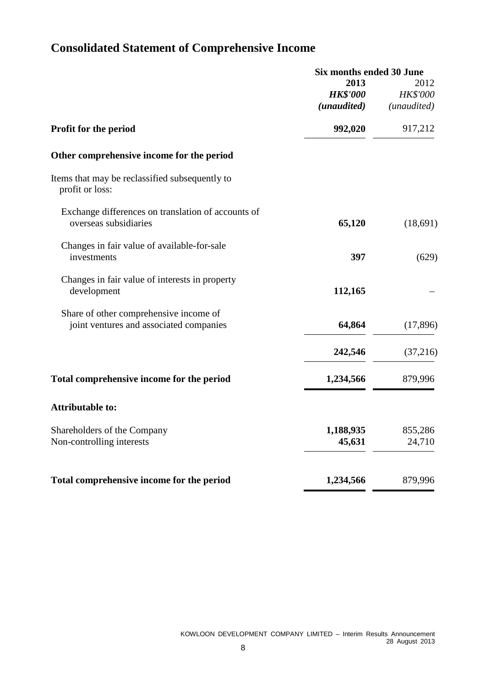# **Consolidated Statement of Comprehensive Income**

|                                                                                   | <b>Six months ended 30 June</b>        |                                        |  |
|-----------------------------------------------------------------------------------|----------------------------------------|----------------------------------------|--|
|                                                                                   | 2013<br><b>HK\$'000</b><br>(unaudited) | 2012<br><b>HK\$'000</b><br>(unaudited) |  |
| <b>Profit for the period</b>                                                      | 992,020                                | 917,212                                |  |
| Other comprehensive income for the period                                         |                                        |                                        |  |
| Items that may be reclassified subsequently to<br>profit or loss:                 |                                        |                                        |  |
| Exchange differences on translation of accounts of<br>overseas subsidiaries       | 65,120                                 | (18,691)                               |  |
| Changes in fair value of available-for-sale<br>investments                        | 397                                    | (629)                                  |  |
| Changes in fair value of interests in property<br>development                     | 112,165                                |                                        |  |
| Share of other comprehensive income of<br>joint ventures and associated companies | 64,864                                 | (17, 896)                              |  |
|                                                                                   | 242,546                                | (37,216)                               |  |
| Total comprehensive income for the period                                         | 1,234,566                              | 879,996                                |  |
| <b>Attributable to:</b>                                                           |                                        |                                        |  |
| Shareholders of the Company<br>Non-controlling interests                          | 1,188,935<br>45,631                    | 855,286<br>24,710                      |  |
| Total comprehensive income for the period                                         | 1,234,566                              | 879,996                                |  |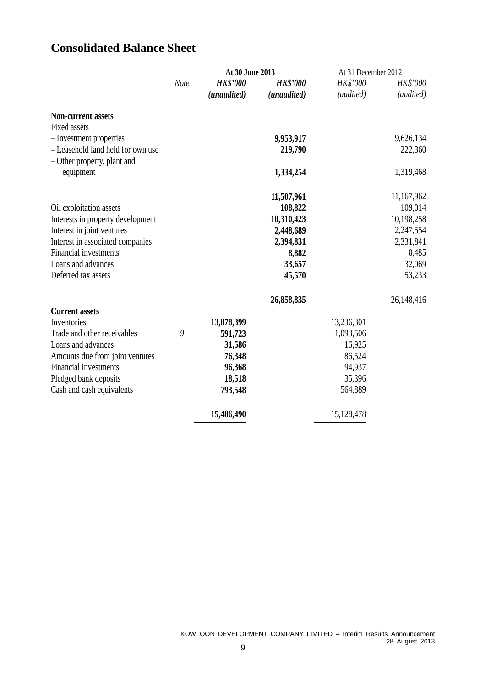# **Consolidated Balance Sheet**

|                                          | At 30 June 2013 |                 |                 | At 31 December 2012 |            |
|------------------------------------------|-----------------|-----------------|-----------------|---------------------|------------|
|                                          | Note            | <b>HK\$'000</b> | <b>HK\$'000</b> | HK\$'000            | HK\$'000   |
|                                          |                 | (unaudited)     | (unaudited)     | (audited)           | (audited)  |
| <b>Non-current assets</b>                |                 |                 |                 |                     |            |
| <b>Fixed assets</b>                      |                 |                 |                 |                     |            |
| - Investment properties                  |                 |                 | 9,953,917       |                     | 9,626,134  |
| - Leasehold land held for own use        |                 |                 | 219,790         |                     | 222,360    |
| - Other property, plant and<br>equipment |                 |                 | 1,334,254       |                     | 1,319,468  |
|                                          |                 |                 | 11,507,961      |                     | 11,167,962 |
| Oil exploitation assets                  |                 |                 | 108,822         |                     | 109,014    |
| Interests in property development        |                 |                 | 10,310,423      |                     | 10,198,258 |
| Interest in joint ventures               |                 |                 | 2,448,689       |                     | 2,247,554  |
| Interest in associated companies         |                 |                 | 2,394,831       |                     | 2,331,841  |
| Financial investments                    |                 |                 | 8,882           |                     | 8,485      |
| Loans and advances                       |                 |                 | 33,657          |                     | 32,069     |
| Deferred tax assets                      |                 |                 | 45,570          |                     | 53,233     |
|                                          |                 |                 | 26,858,835      |                     | 26,148,416 |
| <b>Current assets</b>                    |                 |                 |                 |                     |            |
| Inventories                              |                 | 13,878,399      |                 | 13,236,301          |            |
| Trade and other receivables              | 9               | 591,723         |                 | 1,093,506           |            |
| Loans and advances                       |                 | 31,586          |                 | 16,925              |            |
| Amounts due from joint ventures          |                 | 76,348          |                 | 86,524              |            |
| <b>Financial investments</b>             |                 | 96,368          |                 | 94,937              |            |
| Pledged bank deposits                    |                 | 18,518          |                 | 35,396              |            |
| Cash and cash equivalents                |                 | 793,548         |                 | 564,889             |            |
|                                          |                 | 15,486,490      |                 | 15,128,478          |            |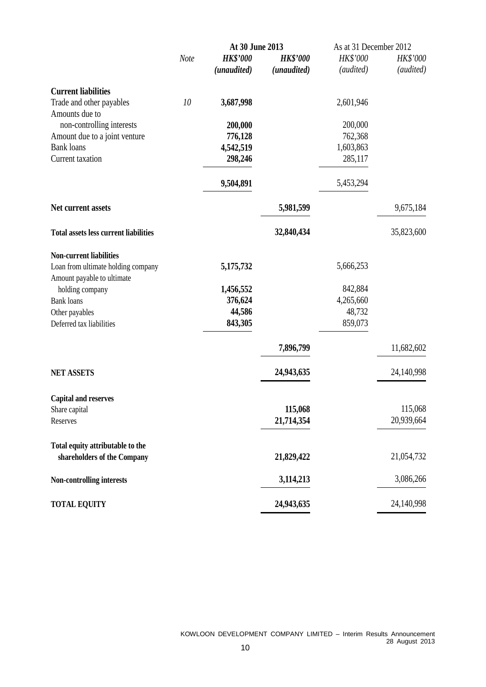|                                              |      | At 30 June 2013 |                 | As at 31 December 2012 |            |  |
|----------------------------------------------|------|-----------------|-----------------|------------------------|------------|--|
|                                              | Note | <b>HK\$'000</b> | <b>HK\$'000</b> | HK\$'000               | HK\$'000   |  |
|                                              |      | (unaudited)     | (unaudited)     | (audited)              | (audited)  |  |
| <b>Current liabilities</b>                   |      |                 |                 |                        |            |  |
| Trade and other payables<br>Amounts due to   | 10   | 3,687,998       |                 | 2,601,946              |            |  |
| non-controlling interests                    |      | 200,000         |                 | 200,000                |            |  |
| Amount due to a joint venture                |      | 776,128         |                 | 762,368                |            |  |
| <b>Bank</b> loans                            |      | 4,542,519       |                 | 1,603,863              |            |  |
| Current taxation                             |      | 298,246         |                 | 285,117                |            |  |
|                                              |      | 9,504,891       |                 | 5,453,294              |            |  |
| Net current assets                           |      |                 | 5,981,599       |                        | 9,675,184  |  |
| <b>Total assets less current liabilities</b> |      |                 | 32,840,434      |                        | 35,823,600 |  |
| <b>Non-current liabilities</b>               |      |                 |                 |                        |            |  |
| Loan from ultimate holding company           |      | 5,175,732       |                 | 5,666,253              |            |  |
| Amount payable to ultimate                   |      |                 |                 |                        |            |  |
| holding company                              |      | 1,456,552       |                 | 842,884                |            |  |
| <b>Bank loans</b>                            |      | 376,624         |                 | 4,265,660              |            |  |
| Other payables                               |      | 44,586          |                 | 48,732                 |            |  |
| Deferred tax liabilities                     |      | 843,305         |                 | 859,073                |            |  |
|                                              |      |                 | 7,896,799       |                        | 11,682,602 |  |
| <b>NET ASSETS</b>                            |      |                 | 24,943,635      |                        | 24,140,998 |  |
| <b>Capital and reserves</b>                  |      |                 |                 |                        |            |  |
| Share capital                                |      |                 | 115,068         |                        | 115,068    |  |
| Reserves                                     |      |                 | 21,714,354      |                        | 20,939,664 |  |
| Total equity attributable to the             |      |                 |                 |                        |            |  |
| shareholders of the Company                  |      |                 | 21,829,422      |                        | 21,054,732 |  |
| Non-controlling interests                    |      |                 | 3,114,213       |                        | 3,086,266  |  |
| <b>TOTAL EQUITY</b>                          |      |                 | 24,943,635      |                        | 24,140,998 |  |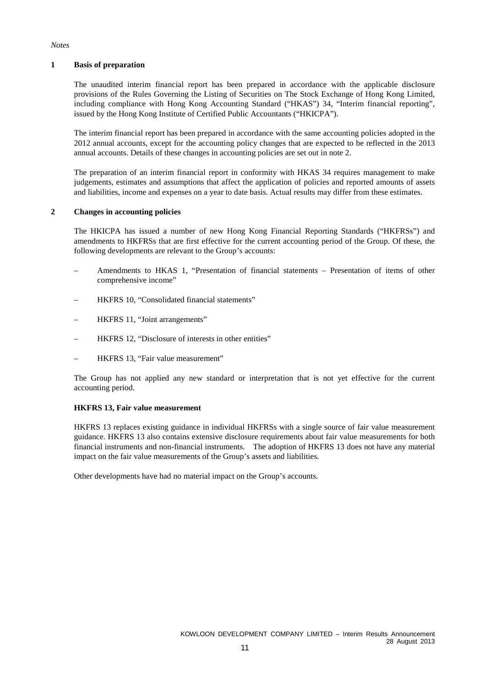#### **1 Basis of preparation**

The unaudited interim financial report has been prepared in accordance with the applicable disclosure provisions of the Rules Governing the Listing of Securities on The Stock Exchange of Hong Kong Limited, including compliance with Hong Kong Accounting Standard ("HKAS") 34, "Interim financial reporting", issued by the Hong Kong Institute of Certified Public Accountants ("HKICPA").

The interim financial report has been prepared in accordance with the same accounting policies adopted in the 2012 annual accounts, except for the accounting policy changes that are expected to be reflected in the 2013 annual accounts. Details of these changes in accounting policies are set out in note 2.

The preparation of an interim financial report in conformity with HKAS 34 requires management to make judgements, estimates and assumptions that affect the application of policies and reported amounts of assets and liabilities, income and expenses on a year to date basis. Actual results may differ from these estimates.

#### **2 Changes in accounting policies**

The HKICPA has issued a number of new Hong Kong Financial Reporting Standards ("HKFRSs") and amendments to HKFRSs that are first effective for the current accounting period of the Group. Of these, the following developments are relevant to the Group's accounts:

- Amendments to HKAS 1, "Presentation of financial statements Presentation of items of other comprehensive income"
- HKFRS 10, "Consolidated financial statements"
- HKFRS 11, "Joint arrangements"
- HKFRS 12, "Disclosure of interests in other entities"
- HKFRS 13, "Fair value measurement"

The Group has not applied any new standard or interpretation that is not yet effective for the current accounting period.

#### **HKFRS 13, Fair value measurement**

HKFRS 13 replaces existing guidance in individual HKFRSs with a single source of fair value measurement guidance. HKFRS 13 also contains extensive disclosure requirements about fair value measurements for both financial instruments and non-financial instruments. The adoption of HKFRS 13 does not have any material impact on the fair value measurements of the Group's assets and liabilities.

Other developments have had no material impact on the Group's accounts.

*Notes*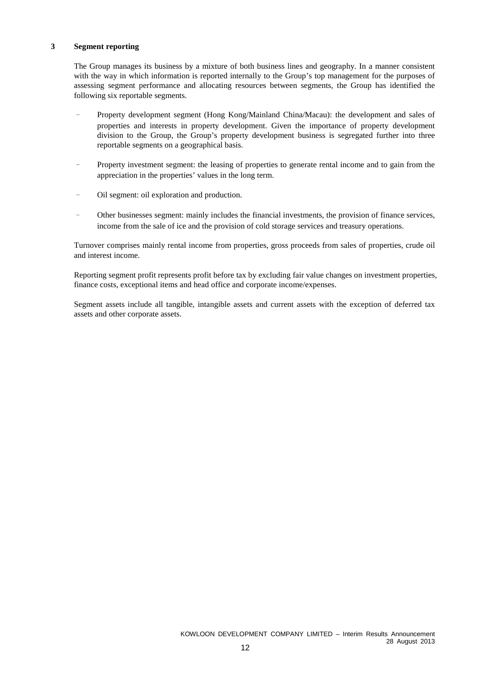#### **3 Segment reporting**

The Group manages its business by a mixture of both business lines and geography. In a manner consistent with the way in which information is reported internally to the Group's top management for the purposes of assessing segment performance and allocating resources between segments, the Group has identified the following six reportable segments.

- Property development segment (Hong Kong/Mainland China/Macau): the development and sales of properties and interests in property development. Given the importance of property development division to the Group, the Group's property development business is segregated further into three reportable segments on a geographical basis.
- Property investment segment: the leasing of properties to generate rental income and to gain from the appreciation in the properties' values in the long term.
- Oil segment: oil exploration and production.
- Other businesses segment: mainly includes the financial investments, the provision of finance services, income from the sale of ice and the provision of cold storage services and treasury operations.

Turnover comprises mainly rental income from properties, gross proceeds from sales of properties, crude oil and interest income.

Reporting segment profit represents profit before tax by excluding fair value changes on investment properties, finance costs, exceptional items and head office and corporate income/expenses.

Segment assets include all tangible, intangible assets and current assets with the exception of deferred tax assets and other corporate assets.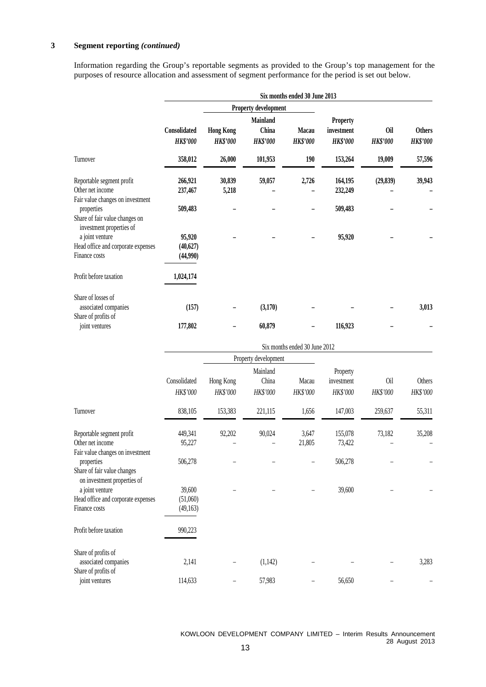## **3 Segment reporting** *(continued)*

Information regarding the Group's reportable segments as provided to the Group's top management for the purposes of resource allocation and assessment of segment performance for the period is set out below.

|                                                                                   | Six months ended 30 June 2013   |                                     |                                      |                                 |                                                  |                               |                                  |
|-----------------------------------------------------------------------------------|---------------------------------|-------------------------------------|--------------------------------------|---------------------------------|--------------------------------------------------|-------------------------------|----------------------------------|
|                                                                                   |                                 |                                     | Property development                 |                                 |                                                  |                               |                                  |
|                                                                                   | Consolidated<br><b>HK\$'000</b> | <b>Hong Kong</b><br><b>HK\$'000</b> | Mainland<br>China<br><b>HK\$'000</b> | <b>Macau</b><br><b>HK\$'000</b> | <b>Property</b><br>investment<br><b>HK\$'000</b> | <b>Oil</b><br><b>HK\$'000</b> | <b>Others</b><br><b>HK\$'000</b> |
| Turnover                                                                          | 358,012                         | 26,000                              | 101,953                              | 190                             | 153,264                                          | 19,009                        | 57,596                           |
| Reportable segment profit<br>Other net income<br>Fair value changes on investment | 266,921<br>237,467              | 30,839<br>5,218                     | 59,057                               | 2,726                           | 164,195<br>232,249                               | (29, 839)                     | 39,943                           |
| properties<br>Share of fair value changes on<br>investment properties of          | 509,483                         |                                     |                                      |                                 | 509,483                                          |                               |                                  |
| a joint venture<br>Head office and corporate expenses<br>Finance costs            | 95,920<br>(40,627)<br>(44,990)  |                                     |                                      |                                 | 95,920                                           |                               |                                  |
| Profit before taxation                                                            | 1,024,174                       |                                     |                                      |                                 |                                                  |                               |                                  |
| Share of losses of<br>associated companies<br>Share of profits of                 | (157)                           |                                     | (3,170)                              |                                 |                                                  |                               | 3,013                            |
| joint ventures                                                                    | 177,802                         |                                     | 60,879                               |                                 | 116,923                                          |                               |                                  |

|                                                                                                       | Six months ended 30 June 2012  |                       |                               |                   |                                    |                 |                    |  |
|-------------------------------------------------------------------------------------------------------|--------------------------------|-----------------------|-------------------------------|-------------------|------------------------------------|-----------------|--------------------|--|
|                                                                                                       |                                |                       | Property development          |                   |                                    |                 |                    |  |
|                                                                                                       | Consolidated<br>HK\$'000       | Hong Kong<br>HK\$'000 | Mainland<br>China<br>HK\$'000 | Macau<br>HK\$'000 | Property<br>investment<br>HK\$'000 | 0il<br>HK\$'000 | Others<br>HK\$'000 |  |
| Turnover                                                                                              | 838,105                        | 153,383               | 221,115                       | 1,656             | 147,003                            | 259,637         | 55,311             |  |
| Reportable segment profit<br>Other net income                                                         | 449,341<br>95,227              | 92,202                | 90,024                        | 3,647<br>21,805   | 155,078<br>73,422                  | 73,182          | 35,208             |  |
| Fair value changes on investment<br>properties<br>Share of fair value changes                         | 506,278                        |                       |                               |                   | 506,278                            |                 |                    |  |
| on investment properties of<br>a joint venture<br>Head office and corporate expenses<br>Finance costs | 39,600<br>(51,060)<br>(49,163) |                       |                               |                   | 39,600                             |                 |                    |  |
| Profit before taxation                                                                                | 990,223                        |                       |                               |                   |                                    |                 |                    |  |
| Share of profits of<br>associated companies<br>Share of profits of                                    | 2,141                          |                       | (1,142)                       |                   |                                    |                 | 3,283              |  |
| joint ventures                                                                                        | 114,633                        |                       | 57,983                        |                   | 56,650                             |                 |                    |  |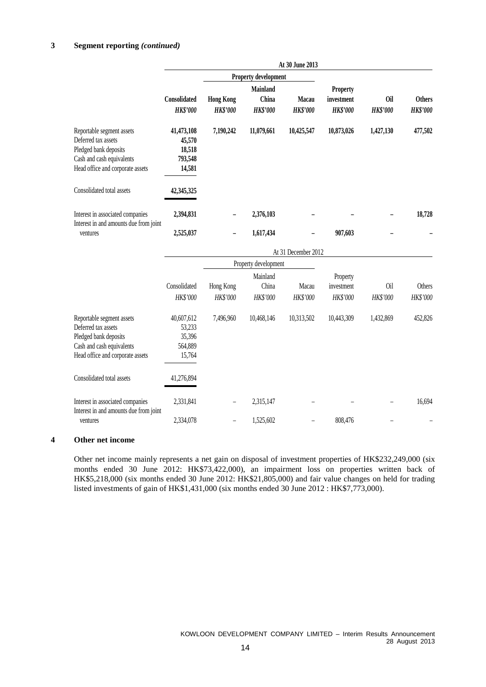#### **3 Segment reporting** *(continued)*

|                                                                                                                                            |                                                     |                                     |                                      | At 30 June 2013          |                                                  |                               |                                  |
|--------------------------------------------------------------------------------------------------------------------------------------------|-----------------------------------------------------|-------------------------------------|--------------------------------------|--------------------------|--------------------------------------------------|-------------------------------|----------------------------------|
|                                                                                                                                            |                                                     | Property development                |                                      |                          |                                                  |                               |                                  |
|                                                                                                                                            | Consolidated<br><b>HK\$'000</b>                     | <b>Hong Kong</b><br><b>HK\$'000</b> | Mainland<br>China<br><b>HK\$'000</b> | Macau<br><b>HK\$'000</b> | <b>Property</b><br>investment<br><b>HK\$'000</b> | <b>Oil</b><br><b>HK\$'000</b> | <b>Others</b><br><b>HK\$'000</b> |
| Reportable segment assets<br>Deferred tax assets<br>Pledged bank deposits<br>Cash and cash equivalents<br>Head office and corporate assets | 41,473,108<br>45,570<br>18,518<br>793,548<br>14,581 | 7,190,242                           | 11,079,661                           | 10,425,547               | 10,873,026                                       | 1,427,130                     | 477,502                          |
| Consolidated total assets                                                                                                                  | 42,345,325                                          |                                     |                                      |                          |                                                  |                               |                                  |
| Interest in associated companies<br>Interest in and amounts due from joint                                                                 | 2,394,831                                           |                                     | 2,376,103                            |                          |                                                  |                               | 18,728                           |
| ventures                                                                                                                                   | 2,525,037                                           |                                     | 1,617,434                            |                          | 907,603                                          |                               |                                  |
|                                                                                                                                            |                                                     |                                     |                                      | At 31 December 2012      |                                                  |                               |                                  |
|                                                                                                                                            |                                                     |                                     | Property development                 |                          |                                                  |                               |                                  |
|                                                                                                                                            |                                                     |                                     | Mainland                             |                          | Property                                         |                               |                                  |
|                                                                                                                                            | Consolidated                                        | Hong Kong                           | China                                | Macau                    | investment                                       | <b>Oil</b>                    | Others                           |
|                                                                                                                                            | HK\$'000                                            | HK\$'000                            | HK\$'000                             | HK\$'000                 | HK\$'000                                         | HK\$'000                      | HK\$'000                         |
| Reportable segment assets<br>Deferred tax assets<br>Pledged bank deposits<br>Cash and cash equivalents<br>Head office and corporate assets | 40,607,612<br>53,233<br>35,396<br>564,889<br>15,764 | 7,496,960                           | 10,468,146                           | 10,313,502               | 10,443,309                                       | 1,432,869                     | 452,826                          |
| Consolidated total assets                                                                                                                  | 41,276,894                                          |                                     |                                      |                          |                                                  |                               |                                  |
| Interest in associated companies<br>Interest in and amounts due from joint                                                                 | 2,331,841                                           |                                     | 2,315,147                            |                          |                                                  |                               | 16,694                           |
| ventures                                                                                                                                   | 2,334,078                                           | $\overline{a}$                      | 1,525,602                            |                          | 808,476                                          |                               |                                  |

#### **4 Other net income**

Other net income mainly represents a net gain on disposal of investment properties of HK\$232,249,000 (six months ended 30 June 2012: HK\$73,422,000), an impairment loss on properties written back of HK\$5,218,000 (six months ended 30 June 2012: HK\$21,805,000) and fair value changes on held for trading listed investments of gain of HK\$1,431,000 (six months ended 30 June 2012 : HK\$7,773,000).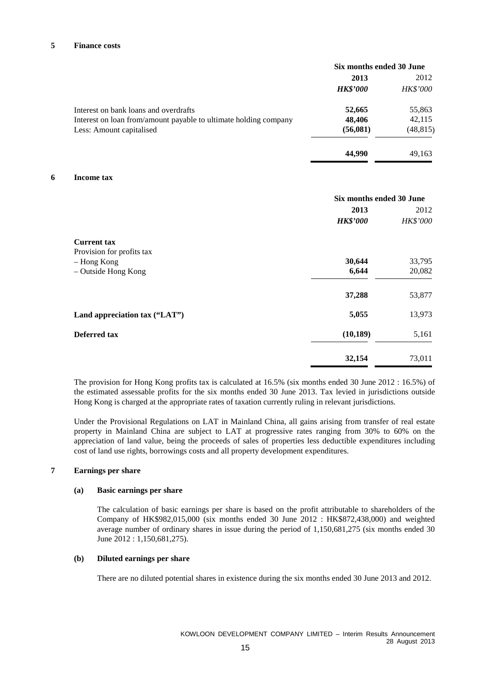#### **5 Finance costs**

|                                                                  | Six months ended 30 June |                 |  |
|------------------------------------------------------------------|--------------------------|-----------------|--|
|                                                                  | 2013                     | 2012            |  |
|                                                                  | <b>HK\$'000</b>          | <b>HK\$'000</b> |  |
| Interest on bank loans and overdrafts                            | 52,665                   | 55,863          |  |
| Interest on loan from/amount payable to ultimate holding company | 48,406                   | 42,115          |  |
| Less: Amount capitalised                                         | (56,081)                 | (48, 815)       |  |
|                                                                  | 44,990                   | 49,163          |  |

#### **6 Income tax**

|                               | Six months ended 30 June |                 |  |
|-------------------------------|--------------------------|-----------------|--|
|                               | 2013                     | 2012            |  |
|                               | <b>HK\$'000</b>          | <b>HK\$'000</b> |  |
| <b>Current tax</b>            |                          |                 |  |
| Provision for profits tax     |                          |                 |  |
| - Hong Kong                   | 30,644                   | 33,795          |  |
| - Outside Hong Kong           | 6,644                    | 20,082          |  |
|                               | 37,288                   | 53,877          |  |
| Land appreciation tax ("LAT") | 5,055                    | 13,973          |  |
| Deferred tax                  | (10, 189)                | 5,161           |  |
|                               | 32,154                   | 73,011          |  |

The provision for Hong Kong profits tax is calculated at 16.5% (six months ended 30 June 2012 : 16.5%) of the estimated assessable profits for the six months ended 30 June 2013. Tax levied in jurisdictions outside Hong Kong is charged at the appropriate rates of taxation currently ruling in relevant jurisdictions.

Under the Provisional Regulations on LAT in Mainland China, all gains arising from transfer of real estate property in Mainland China are subject to LAT at progressive rates ranging from 30% to 60% on the appreciation of land value, being the proceeds of sales of properties less deductible expenditures including cost of land use rights, borrowings costs and all property development expenditures.

#### **7 Earnings per share**

#### **(a) Basic earnings per share**

The calculation of basic earnings per share is based on the profit attributable to shareholders of the Company of HK\$982,015,000 (six months ended 30 June 2012 : HK\$872,438,000) and weighted average number of ordinary shares in issue during the period of 1,150,681,275 (six months ended 30 June 2012 : 1,150,681,275).

#### **(b) Diluted earnings per share**

There are no diluted potential shares in existence during the six months ended 30 June 2013 and 2012.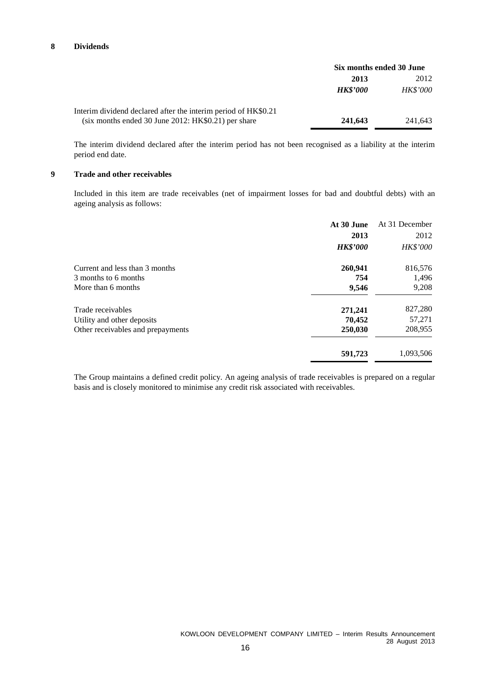#### **8 Dividends**

|                                                                | Six months ended 30 June |                 |
|----------------------------------------------------------------|--------------------------|-----------------|
|                                                                | 2013                     | 2012            |
|                                                                | <b>HK\$'000</b>          | <b>HK\$'000</b> |
| Interim dividend declared after the interim period of HK\$0.21 |                          |                 |
| $(six$ months ended 30 June 2012: HK\$0.21) per share          | 241,643                  | 241,643         |

The interim dividend declared after the interim period has not been recognised as a liability at the interim period end date.

#### **9 Trade and other receivables**

Included in this item are trade receivables (net of impairment losses for bad and doubtful debts) with an ageing analysis as follows:

|                                   | At 30 June      | At 31 December  |
|-----------------------------------|-----------------|-----------------|
|                                   | 2013            | 2012            |
|                                   | <b>HK\$'000</b> | <b>HK\$'000</b> |
| Current and less than 3 months    | 260,941         | 816,576         |
| 3 months to 6 months              | 754             | 1,496           |
| More than 6 months                | 9,546           | 9,208           |
| Trade receivables                 | 271,241         | 827,280         |
| Utility and other deposits        | 70,452          | 57,271          |
| Other receivables and prepayments | 250,030         | 208,955         |
|                                   | 591,723         | 1,093,506       |
|                                   |                 |                 |

The Group maintains a defined credit policy. An ageing analysis of trade receivables is prepared on a regular basis and is closely monitored to minimise any credit risk associated with receivables.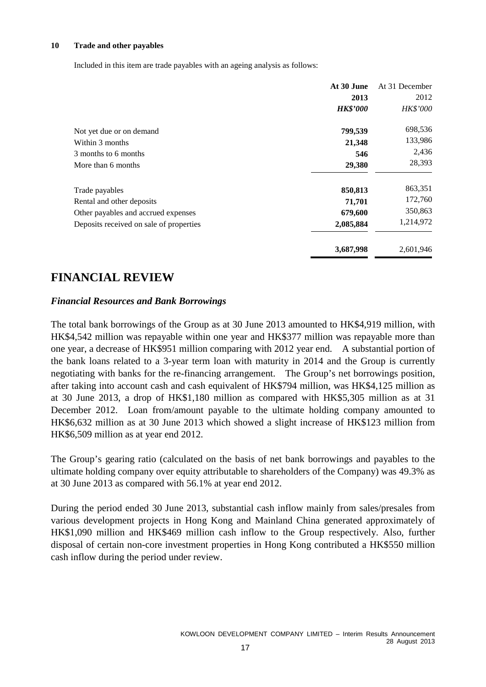#### **10 Trade and other payables**

Included in this item are trade payables with an ageing analysis as follows:

|                                         | At 30 June      | At 31 December |
|-----------------------------------------|-----------------|----------------|
|                                         | 2013            | 2012           |
|                                         | <b>HK\$'000</b> | HK\$'000       |
| Not yet due or on demand                | 799,539         | 698,536        |
| Within 3 months                         | 21,348          | 133,986        |
| 3 months to 6 months                    | 546             | 2,436          |
| More than 6 months                      | 29,380          | 28,393         |
| Trade payables                          | 850,813         | 863,351        |
| Rental and other deposits               | 71,701          | 172,760        |
| Other payables and accrued expenses     | 679,600         | 350,863        |
| Deposits received on sale of properties | 2,085,884       | 1,214,972      |
|                                         | 3,687,998       | 2,601,946      |

## **FINANCIAL REVIEW**

## *Financial Resources and Bank Borrowings*

The total bank borrowings of the Group as at 30 June 2013 amounted to HK\$4,919 million, with HK\$4,542 million was repayable within one year and HK\$377 million was repayable more than one year, a decrease of HK\$951 million comparing with 2012 year end. A substantial portion of the bank loans related to a 3-year term loan with maturity in 2014 and the Group is currently negotiating with banks for the re-financing arrangement. The Group's net borrowings position, after taking into account cash and cash equivalent of HK\$794 million, was HK\$4,125 million as at 30 June 2013, a drop of HK\$1,180 million as compared with HK\$5,305 million as at 31 December 2012. Loan from/amount payable to the ultimate holding company amounted to HK\$6,632 million as at 30 June 2013 which showed a slight increase of HK\$123 million from HK\$6,509 million as at year end 2012.

The Group's gearing ratio (calculated on the basis of net bank borrowings and payables to the ultimate holding company over equity attributable to shareholders of the Company) was 49.3% as at 30 June 2013 as compared with 56.1% at year end 2012.

During the period ended 30 June 2013, substantial cash inflow mainly from sales/presales from various development projects in Hong Kong and Mainland China generated approximately of HK\$1,090 million and HK\$469 million cash inflow to the Group respectively. Also, further disposal of certain non-core investment properties in Hong Kong contributed a HK\$550 million cash inflow during the period under review.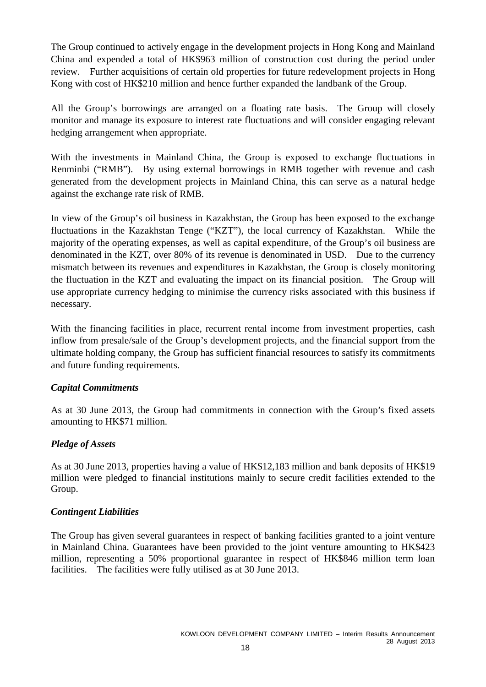The Group continued to actively engage in the development projects in Hong Kong and Mainland China and expended a total of HK\$963 million of construction cost during the period under review. Further acquisitions of certain old properties for future redevelopment projects in Hong Kong with cost of HK\$210 million and hence further expanded the landbank of the Group.

All the Group's borrowings are arranged on a floating rate basis. The Group will closely monitor and manage its exposure to interest rate fluctuations and will consider engaging relevant hedging arrangement when appropriate.

With the investments in Mainland China, the Group is exposed to exchange fluctuations in Renminbi ("RMB"). By using external borrowings in RMB together with revenue and cash generated from the development projects in Mainland China, this can serve as a natural hedge against the exchange rate risk of RMB.

In view of the Group's oil business in Kazakhstan, the Group has been exposed to the exchange fluctuations in the Kazakhstan Tenge ("KZT"), the local currency of Kazakhstan. While the majority of the operating expenses, as well as capital expenditure, of the Group's oil business are denominated in the KZT, over 80% of its revenue is denominated in USD. Due to the currency mismatch between its revenues and expenditures in Kazakhstan, the Group is closely monitoring the fluctuation in the KZT and evaluating the impact on its financial position. The Group will use appropriate currency hedging to minimise the currency risks associated with this business if necessary.

With the financing facilities in place, recurrent rental income from investment properties, cash inflow from presale/sale of the Group's development projects, and the financial support from the ultimate holding company, the Group has sufficient financial resources to satisfy its commitments and future funding requirements.

## *Capital Commitments*

As at 30 June 2013, the Group had commitments in connection with the Group's fixed assets amounting to HK\$71 million.

## *Pledge of Assets*

As at 30 June 2013, properties having a value of HK\$12,183 million and bank deposits of HK\$19 million were pledged to financial institutions mainly to secure credit facilities extended to the Group.

## *Contingent Liabilities*

The Group has given several guarantees in respect of banking facilities granted to a joint venture in Mainland China. Guarantees have been provided to the joint venture amounting to HK\$423 million, representing a 50% proportional guarantee in respect of HK\$846 million term loan facilities. The facilities were fully utilised as at 30 June 2013.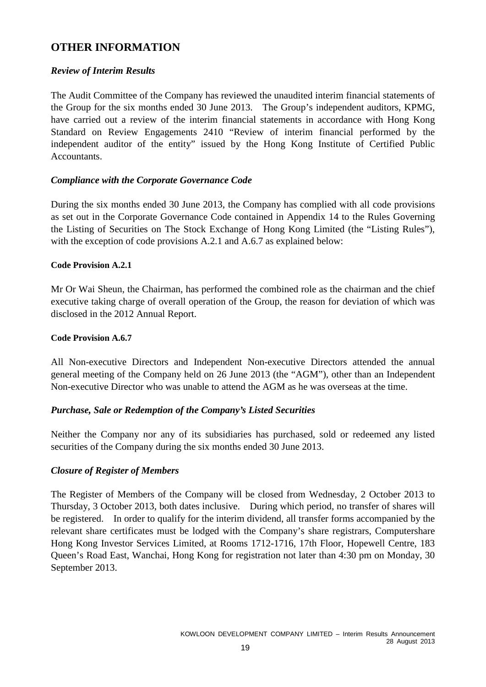## **OTHER INFORMATION**

## *Review of Interim Results*

The Audit Committee of the Company has reviewed the unaudited interim financial statements of the Group for the six months ended 30 June 2013. The Group's independent auditors, KPMG, have carried out a review of the interim financial statements in accordance with Hong Kong Standard on Review Engagements 2410 "Review of interim financial performed by the independent auditor of the entity" issued by the Hong Kong Institute of Certified Public Accountants.

## *Compliance with the Corporate Governance Code*

During the six months ended 30 June 2013, the Company has complied with all code provisions as set out in the Corporate Governance Code contained in Appendix 14 to the Rules Governing the Listing of Securities on The Stock Exchange of Hong Kong Limited (the "Listing Rules"), with the exception of code provisions A.2.1 and A.6.7 as explained below:

## **Code Provision A.2.1**

Mr Or Wai Sheun, the Chairman, has performed the combined role as the chairman and the chief executive taking charge of overall operation of the Group, the reason for deviation of which was disclosed in the 2012 Annual Report.

## **Code Provision A.6.7**

All Non-executive Directors and Independent Non-executive Directors attended the annual general meeting of the Company held on 26 June 2013 (the "AGM"), other than an Independent Non-executive Director who was unable to attend the AGM as he was overseas at the time.

## *Purchase, Sale or Redemption of the Company's Listed Securities*

Neither the Company nor any of its subsidiaries has purchased, sold or redeemed any listed securities of the Company during the six months ended 30 June 2013.

## *Closure of Register of Members*

The Register of Members of the Company will be closed from Wednesday, 2 October 2013 to Thursday, 3 October 2013, both dates inclusive. During which period, no transfer of shares will be registered. In order to qualify for the interim dividend, all transfer forms accompanied by the relevant share certificates must be lodged with the Company's share registrars, Computershare Hong Kong Investor Services Limited, at Rooms 1712-1716, 17th Floor, Hopewell Centre, 183 Queen's Road East, Wanchai, Hong Kong for registration not later than 4:30 pm on Monday, 30 September 2013.